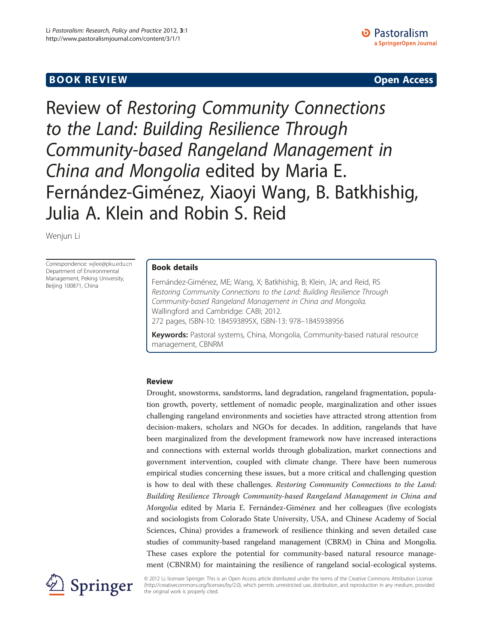## **BOOK REVIEW CONTROL** BOOK REVIEW

# Review of Restoring Community Connections to the Land: Building Resilience Through Community-based Rangeland Management in China and Mongolia edited by Maria E. Fernández-Giménez, Xiaoyi Wang, B. Batkhishig, Julia A. Klein and Robin S. Reid

Wenjun Li

Correspondence: [wjlee@pku.edu.cn](mailto:wjlee@pku.edu.cn) Department of Environmental Management, Peking University, Beijing 100871, China

#### Book details

Fernández-Giménez, ME; Wang, X; Batkhishig, B; Klein, JA; and Reid, RS Restoring Community Connections to the Land: Building Resilience Through Community-based Rangeland Management in China and Mongolia. Wallingford and Cambridge: CABI; 2012. 272 pages, ISBN-10: 184593895X, ISBN-13: 978–1845938956

Keywords: Pastoral systems, China, Mongolia, Community-based natural resource management, CBNRM

#### Review

Drought, snowstorms, sandstorms, land degradation, rangeland fragmentation, population growth, poverty, settlement of nomadic people, marginalization and other issues challenging rangeland environments and societies have attracted strong attention from decision-makers, scholars and NGOs for decades. In addition, rangelands that have been marginalized from the development framework now have increased interactions and connections with external worlds through globalization, market connections and government intervention, coupled with climate change. There have been numerous empirical studies concerning these issues, but a more critical and challenging question is how to deal with these challenges. Restoring Community Connections to the Land: Building Resilience Through Community-based Rangeland Management in China and Mongolia edited by Maria E. Fernández-Giménez and her colleagues (five ecologists and sociologists from Colorado State University, USA, and Chinese Academy of Social Sciences, China) provides a framework of resilience thinking and seven detailed case studies of community-based rangeland management (CBRM) in China and Mongolia. These cases explore the potential for community-based natural resource management (CBNRM) for maintaining the resilience of rangeland social-ecological systems.



© 2012 Li; licensee Springer. This is an Open Access article distributed under the terms of the Creative Commons Attribution License (<http://creativecommons.org/licenses/by/2.0>), which permits unrestricted use, distribution, and reproduction in any medium, provided the original work is properly cited.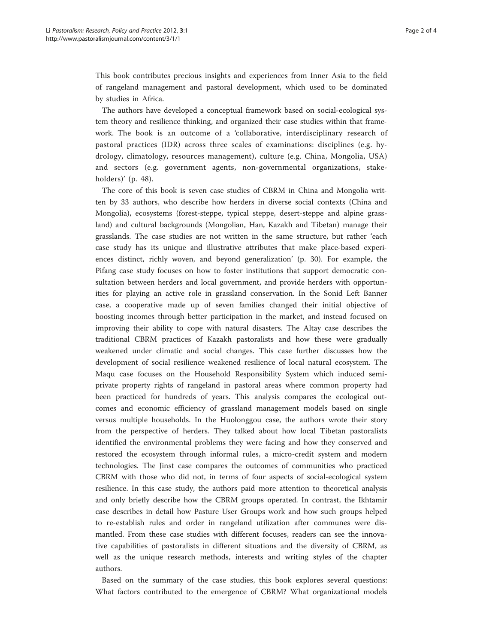This book contributes precious insights and experiences from Inner Asia to the field of rangeland management and pastoral development, which used to be dominated by studies in Africa.

The authors have developed a conceptual framework based on social-ecological system theory and resilience thinking, and organized their case studies within that framework. The book is an outcome of a 'collaborative, interdisciplinary research of pastoral practices (IDR) across three scales of examinations: disciplines (e.g. hydrology, climatology, resources management), culture (e.g. China, Mongolia, USA) and sectors (e.g. government agents, non-governmental organizations, stakeholders)' (p. 48).

The core of this book is seven case studies of CBRM in China and Mongolia written by 33 authors, who describe how herders in diverse social contexts (China and Mongolia), ecosystems (forest-steppe, typical steppe, desert-steppe and alpine grassland) and cultural backgrounds (Mongolian, Han, Kazakh and Tibetan) manage their grasslands. The case studies are not written in the same structure, but rather 'each case study has its unique and illustrative attributes that make place-based experiences distinct, richly woven, and beyond generalization' (p. 30). For example, the Pifang case study focuses on how to foster institutions that support democratic consultation between herders and local government, and provide herders with opportunities for playing an active role in grassland conservation. In the Sonid Left Banner case, a cooperative made up of seven families changed their initial objective of boosting incomes through better participation in the market, and instead focused on improving their ability to cope with natural disasters. The Altay case describes the traditional CBRM practices of Kazakh pastoralists and how these were gradually weakened under climatic and social changes. This case further discusses how the development of social resilience weakened resilience of local natural ecosystem. The Maqu case focuses on the Household Responsibility System which induced semiprivate property rights of rangeland in pastoral areas where common property had been practiced for hundreds of years. This analysis compares the ecological outcomes and economic efficiency of grassland management models based on single versus multiple households. In the Huolonggou case, the authors wrote their story from the perspective of herders. They talked about how local Tibetan pastoralists identified the environmental problems they were facing and how they conserved and restored the ecosystem through informal rules, a micro-credit system and modern technologies. The Jinst case compares the outcomes of communities who practiced CBRM with those who did not, in terms of four aspects of social-ecological system resilience. In this case study, the authors paid more attention to theoretical analysis and only briefly describe how the CBRM groups operated. In contrast, the Ikhtamir case describes in detail how Pasture User Groups work and how such groups helped to re-establish rules and order in rangeland utilization after communes were dismantled. From these case studies with different focuses, readers can see the innovative capabilities of pastoralists in different situations and the diversity of CBRM, as well as the unique research methods, interests and writing styles of the chapter authors.

Based on the summary of the case studies, this book explores several questions: What factors contributed to the emergence of CBRM? What organizational models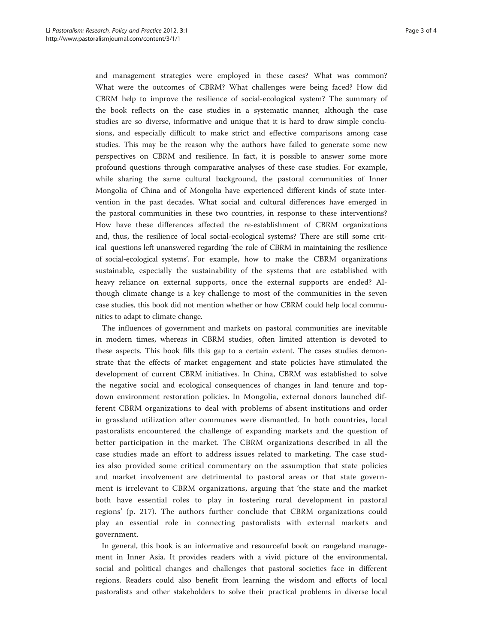and management strategies were employed in these cases? What was common? What were the outcomes of CBRM? What challenges were being faced? How did CBRM help to improve the resilience of social-ecological system? The summary of the book reflects on the case studies in a systematic manner, although the case studies are so diverse, informative and unique that it is hard to draw simple conclusions, and especially difficult to make strict and effective comparisons among case studies. This may be the reason why the authors have failed to generate some new perspectives on CBRM and resilience. In fact, it is possible to answer some more profound questions through comparative analyses of these case studies. For example, while sharing the same cultural background, the pastoral communities of Inner Mongolia of China and of Mongolia have experienced different kinds of state intervention in the past decades. What social and cultural differences have emerged in the pastoral communities in these two countries, in response to these interventions? How have these differences affected the re-establishment of CBRM organizations and, thus, the resilience of local social-ecological systems? There are still some critical questions left unanswered regarding 'the role of CBRM in maintaining the resilience of social-ecological systems'. For example, how to make the CBRM organizations sustainable, especially the sustainability of the systems that are established with heavy reliance on external supports, once the external supports are ended? Although climate change is a key challenge to most of the communities in the seven case studies, this book did not mention whether or how CBRM could help local communities to adapt to climate change.

The influences of government and markets on pastoral communities are inevitable in modern times, whereas in CBRM studies, often limited attention is devoted to these aspects. This book fills this gap to a certain extent. The cases studies demonstrate that the effects of market engagement and state policies have stimulated the development of current CBRM initiatives. In China, CBRM was established to solve the negative social and ecological consequences of changes in land tenure and topdown environment restoration policies. In Mongolia, external donors launched different CBRM organizations to deal with problems of absent institutions and order in grassland utilization after communes were dismantled. In both countries, local pastoralists encountered the challenge of expanding markets and the question of better participation in the market. The CBRM organizations described in all the case studies made an effort to address issues related to marketing. The case studies also provided some critical commentary on the assumption that state policies and market involvement are detrimental to pastoral areas or that state government is irrelevant to CBRM organizations, arguing that 'the state and the market both have essential roles to play in fostering rural development in pastoral regions' (p. 217). The authors further conclude that CBRM organizations could play an essential role in connecting pastoralists with external markets and government.

In general, this book is an informative and resourceful book on rangeland management in Inner Asia. It provides readers with a vivid picture of the environmental, social and political changes and challenges that pastoral societies face in different regions. Readers could also benefit from learning the wisdom and efforts of local pastoralists and other stakeholders to solve their practical problems in diverse local